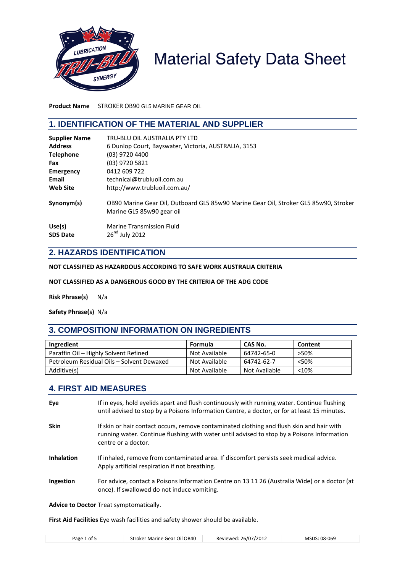

# **Material Safety Data Sheet**

**Product Name** STROKER OB90 GL5 MARINE GEAR OIL

## **1. IDENTIFICATION OF THE MATERIAL AND SUPPLIER**

| <b>Supplier Name</b>      | TRU-BLU OIL AUSTRALIA PTY LTD                                                                                     |
|---------------------------|-------------------------------------------------------------------------------------------------------------------|
| <b>Address</b>            | 6 Dunlop Court, Bayswater, Victoria, AUSTRALIA, 3153                                                              |
| <b>Telephone</b>          | (03) 9720 4400                                                                                                    |
| Fax                       | (03) 9720 5821                                                                                                    |
| <b>Emergency</b>          | 0412 609 722                                                                                                      |
| Email                     | technical@trubluoil.com.au                                                                                        |
| <b>Web Site</b>           | http://www.trubluoil.com.au/                                                                                      |
| Synonym(s)                | OB90 Marine Gear Oil, Outboard GL5 85w90 Marine Gear Oil, Stroker GL5 85w90, Stroker<br>Marine GL5 85w90 gear oil |
| Use(s)<br><b>SDS Date</b> | Marine Transmission Fluid<br>$26nd$ July 2012                                                                     |

## **2. HAZARDS IDENTIFICATION**

**NOT CLASSIFIED AS HAZARDOUS ACCORDING TO SAFE WORK AUSTRALIA CRITERIA**

#### **NOT CLASSIFIED AS A DANGEROUS GOOD BY THE CRITERIA OF THE ADG CODE**

**Risk Phrase(s)** N/a

**Safety Phrase(s)** N/a

## **3. COMPOSITION/ INFORMATION ON INGREDIENTS**

| Ingredient                                | Formula       | CAS No.       | Content |
|-------------------------------------------|---------------|---------------|---------|
| Paraffin Oil - Highly Solvent Refined     | Not Available | 64742-65-0    | >50%    |
| Petroleum Residual Oils - Solvent Dewaxed | Not Available | 64742-62-7    | < 50%   |
| Additive(s)                               | Not Available | Not Available | < 10%   |

## **4. FIRST AID MEASURES**

| Eye               | If in eyes, hold eyelids apart and flush continuously with running water. Continue flushing<br>until advised to stop by a Poisons Information Centre, a doctor, or for at least 15 minutes.                    |
|-------------------|----------------------------------------------------------------------------------------------------------------------------------------------------------------------------------------------------------------|
| <b>Skin</b>       | If skin or hair contact occurs, remove contaminated clothing and flush skin and hair with<br>running water. Continue flushing with water until advised to stop by a Poisons Information<br>centre or a doctor. |
| <b>Inhalation</b> | If inhaled, remove from contaminated area. If discomfort persists seek medical advice.<br>Apply artificial respiration if not breathing.                                                                       |
| Ingestion         | For advice, contact a Poisons Information Centre on 13 11 26 (Australia Wide) or a doctor (at<br>once). If swallowed do not induce vomiting.                                                                   |
|                   | <b>Advice to Doctor Treat symptomatically.</b>                                                                                                                                                                 |

**First Aid Facilities** Eye wash facilities and safety shower should be available.

|--|--|--|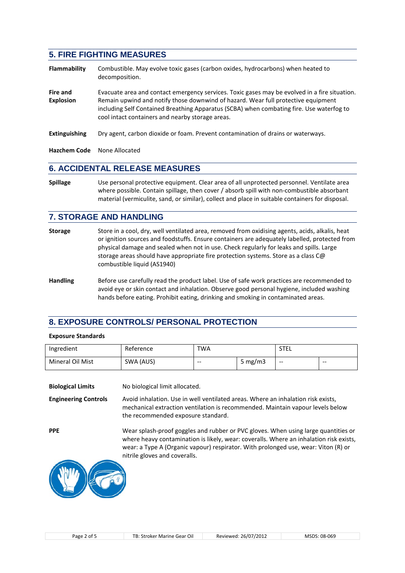## **5. FIRE FIGHTING MEASURES**

- **Flammability** Combustible. May evolve toxic gases (carbon oxides, hydrocarbons) when heated to decomposition.
- Fire and **Evacuate area and contact emergency services**. Toxic gases may be evolved in a fire situation. **Explosion** Remain upwind and notify those downwind of hazard. Wear full protective equipment including Self Contained Breathing Apparatus (SCBA) when combating fire. Use waterfog to cool intact containers and nearby storage areas.
- **Extinguishing** Dry agent, carbon dioxide or foam. Prevent contamination of drains or waterways.

**Hazchem Code** None Allocated

## **6. ACCIDENTAL RELEASE MEASURES**

**Spillage** Use personal protective equipment. Clear area of all unprotected personnel. Ventilate area where possible. Contain spillage, then cover / absorb spill with non-combustible absorbant material (vermiculite, sand, or similar), collect and place in suitable containers for disposal.

#### **7. STORAGE AND HANDLING**

- **Storage** Store in a cool, dry, well ventilated area, removed from oxidising agents, acids, alkalis, heat or ignition sources and foodstuffs. Ensure containers are adequately labelled, protected from physical damage and sealed when not in use. Check regularly for leaks and spills. Large storage areas should have appropriate fire protection systems. Store as a class C@ combustible liquid (AS1940)
- **Handling** Before use carefully read the product label. Use of safe work practices are recommended to avoid eye or skin contact and inhalation. Observe good personal hygiene, included washing hands before eating. Prohibit eating, drinking and smoking in contaminated areas.

#### **8. EXPOSURE CONTROLS/ PERSONAL PROTECTION**

#### **Exposure Standards**

| Ingredient       | Reference | TWA   |            | <b>STEL</b> |       |
|------------------|-----------|-------|------------|-------------|-------|
| Mineral Oil Mist | SWA (AUS) | $- -$ | 5 mg/m $3$ | $- -$       | $- -$ |

| <b>Biological Limits</b>    | No biological limit allocated.                                                                                                                                                                                                                                                                      |
|-----------------------------|-----------------------------------------------------------------------------------------------------------------------------------------------------------------------------------------------------------------------------------------------------------------------------------------------------|
| <b>Engineering Controls</b> | Avoid inhalation. Use in well ventilated areas. Where an inhalation risk exists,<br>mechanical extraction ventilation is recommended. Maintain vapour levels below<br>the recommended exposure standard.                                                                                            |
| <b>PPE</b>                  | Wear splash-proof goggles and rubber or PVC gloves. When using large quantities or<br>where heavy contamination is likely, wear: coveralls. Where an inhalation risk exists,<br>wear: a Type A (Organic vapour) respirator. With prolonged use, wear: Viton (R) or<br>nitrile gloves and coveralls. |
|                             |                                                                                                                                                                                                                                                                                                     |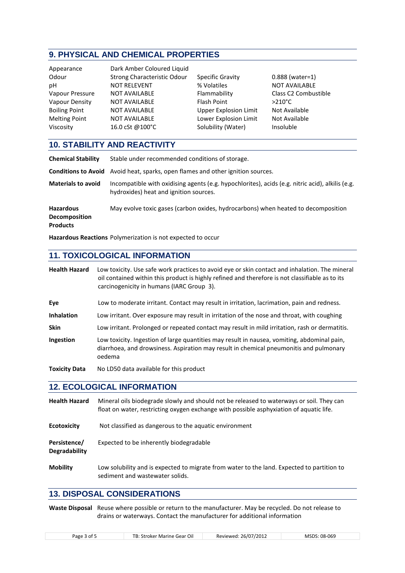## **9. PHYSICAL AND CHEMICAL PROPERTIES**

| Appearance<br>Odour<br>рH<br>Vapour Pressure<br>Vapour Density<br><b>Boiling Point</b> | Dark Amber Coloured Liquid<br>Strong Characteristic Odour<br><b>NOT RELEVENT</b><br><b>NOT AVAILABLE</b><br><b>NOT AVAILABLE</b><br><b>NOT AVAILABLE</b> | <b>Specific Gravity</b><br>% Volatiles<br>Flammability<br>Flash Point<br><b>Upper Explosion Limit</b> | $0.888$ (water=1)<br><b>NOT AVAILABLE</b><br>Class C2 Combustible<br>$>210^{\circ}$ C<br>Not Available |
|----------------------------------------------------------------------------------------|----------------------------------------------------------------------------------------------------------------------------------------------------------|-------------------------------------------------------------------------------------------------------|--------------------------------------------------------------------------------------------------------|
| <b>Melting Point</b>                                                                   | <b>NOT AVAILABLE</b>                                                                                                                                     | Lower Explosion Limit                                                                                 | Not Available                                                                                          |
| Viscosity                                                                              | 16.0 cSt @100°C                                                                                                                                          | Solubility (Water)                                                                                    | Insoluble                                                                                              |

## **10. STABILITY AND REACTIVITY**

| <b>Chemical Stability</b>                                   | Stable under recommended conditions of storage.                                                                                            |
|-------------------------------------------------------------|--------------------------------------------------------------------------------------------------------------------------------------------|
|                                                             | Conditions to Avoid Avoid heat, sparks, open flames and other ignition sources.                                                            |
| <b>Materials to avoid</b>                                   | Incompatible with oxidising agents (e.g. hypochlorites), acids (e.g. nitric acid), alkilis (e.g.<br>hydroxides) heat and ignition sources. |
| <b>Hazardous</b><br><b>Decomposition</b><br><b>Products</b> | May evolve toxic gases (carbon oxides, hydrocarbons) when heated to decomposition                                                          |

**Hazardous Reactions** Polymerization is not expected to occur

## **11. TOXICOLOGICAL INFORMATION**

**Health Hazard** Low toxicity. Use safe work practices to avoid eye or skin contact and inhalation. The mineral oil contained within this product is highly refined and therefore is not classifiable as to its carcinogenicity in humans (IARC Group 3).

- **Eye** Low to moderate irritant. Contact may result in irritation, lacrimation, pain and redness.
- **Inhalation** Low irritant. Over exposure may result in irritation of the nose and throat, with coughing
- **Skin** Low irritant. Prolonged or repeated contact may result in mild irritation, rash or dermatitis.
- **Ingestion** Low toxicity. Ingestion of large quantities may result in nausea, vomiting, abdominal pain, diarrhoea, and drowsiness. Aspiration may result in chemical pneumonitis and pulmonary oedema
- **Toxicity Data** No LD50 data available for this product

## **12. ECOLOGICAL INFORMATION**

| <b>Health Hazard</b>          | Mineral oils biodegrade slowly and should not be released to waterways or soil. They can<br>float on water, restricting oxygen exchange with possible asphyxiation of aquatic life. |
|-------------------------------|-------------------------------------------------------------------------------------------------------------------------------------------------------------------------------------|
| <b>Ecotoxicity</b>            | Not classified as dangerous to the aquatic environment                                                                                                                              |
| Persistence/<br>Degradability | Expected to be inherently biodegradable                                                                                                                                             |
| <b>Mobility</b>               | Low solubility and is expected to migrate from water to the land. Expected to partition to                                                                                          |

#### **13. DISPOSAL CONSIDERATIONS**

**Waste Disposal** Reuse where possible or return to the manufacturer. May be recycled. Do not release to drains or waterways. Contact the manufacturer for additional information

|--|--|--|

sediment and wastewater solids.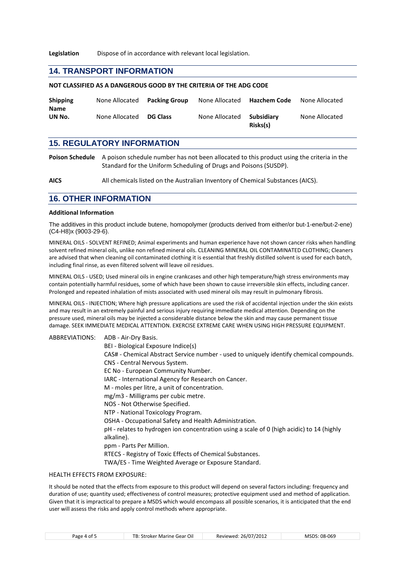**Legislation** Dispose of in accordance with relevant local legislation.

#### **14. TRANSPORT INFORMATION**

**NOT CLASSIFIED AS A DANGEROUS GOOD BY THE CRITERIA OF THE ADG CODE**

| <b>Shipping</b><br><b>Name</b> | None Allocated | Packing Group   | None Allocated | <b>Hazchem Code</b>    | None Allocated |
|--------------------------------|----------------|-----------------|----------------|------------------------|----------------|
| UN No.                         | None Allocated | <b>DG Class</b> | None Allocated | Subsidiary<br>Risks(s) | None Allocated |

## **15. REGULATORY INFORMATION**

**Poison Schedule** A poison schedule number has not been allocated to this product using the criteria in the Standard for the Uniform Scheduling of Drugs and Poisons (SUSDP).

**AICS** All chemicals listed on the Australian Inventory of Chemical Substances (AICS).

#### **16. OTHER INFORMATION**

#### **Additional Information**

The additives in this product include butene, homopolymer (products derived from either/or but-1-ene/but-2-ene) (C4-H8)x (9003-29-6).

MINERAL OILS - SOLVENT REFINED; Animal experiments and human experience have not shown cancer risks when handling solvent refined mineral oils, unlike non refined mineral oils. CLEANING MINERAL OIL CONTAMINATED CLOTHING; Cleaners are advised that when cleaning oil contaminated clothing it is essential that freshly distilled solvent is used for each batch, including final rinse, as even filtered solvent will leave oil residues.

MINERAL OILS - USED; Used mineral oils in engine crankcases and other high temperature/high stress environments may contain potentially harmful residues, some of which have been shown to cause irreversible skin effects, including cancer. Prolonged and repeated inhalation of mists associated with used mineral oils may result in pulmonary fibrosis.

MINERAL OILS - INJECTION; Where high pressure applications are used the risk of accidental injection under the skin exists and may result in an extremely painful and serious injury requiring immediate medical attention. Depending on the pressure used, mineral oils may be injected a considerable distance below the skin and may cause permanent tissue damage. SEEK IMMEDIATE MEDICAL ATTENTION. EXERCISE EXTREME CARE WHEN USING HIGH PRESSURE EQUIPMENT.

ABBREVIATIONS: ADB - Air-Dry Basis. BEI - Biological Exposure Indice(s) CAS# - Chemical Abstract Service number - used to uniquely identify chemical compounds. CNS - Central Nervous System. EC No - European Community Number. IARC - International Agency for Research on Cancer. M - moles per litre, a unit of concentration. mg/m3 - Milligrams per cubic metre. NOS - Not Otherwise Specified. NTP - National Toxicology Program. OSHA - Occupational Safety and Health Administration. pH - relates to hydrogen ion concentration using a scale of 0 (high acidic) to 14 (highly alkaline). ppm - Parts Per Million. RTECS - Registry of Toxic Effects of Chemical Substances. TWA/ES - Time Weighted Average or Exposure Standard.

#### HEALTH EFFECTS FROM EXPOSURE:

It should be noted that the effects from exposure to this product will depend on several factors including: frequency and duration of use; quantity used; effectiveness of control measures; protective equipment used and method of application. Given that it is impractical to prepare a MSDS which would encompass all possible scenarios, it is anticipated that the end user will assess the risks and apply control methods where appropriate.

| Page 4 of 5 |  |  |  |
|-------------|--|--|--|
|-------------|--|--|--|